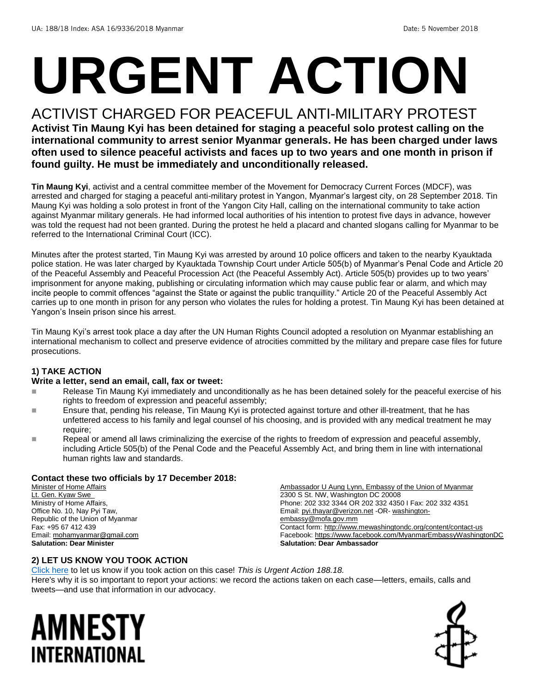# **URGENT ACTION**

# ACTIVIST CHARGED FOR PEACEFUL ANTI-MILITARY PROTEST

**Activist Tin Maung Kyi has been detained for staging a peaceful solo protest calling on the international community to arrest senior Myanmar generals. He has been charged under laws often used to silence peaceful activists and faces up to two years and one month in prison if found guilty. He must be immediately and unconditionally released.** 

**Tin Maung Kyi**, activist and a central committee member of the Movement for Democracy Current Forces (MDCF), was arrested and charged for staging a peaceful anti-military protest in Yangon, Myanmar's largest city, on 28 September 2018. Tin Maung Kyi was holding a solo protest in front of the Yangon City Hall, calling on the international community to take action against Myanmar military generals. He had informed local authorities of his intention to protest five days in advance, however was told the request had not been granted. During the protest he held a placard and chanted slogans calling for Myanmar to be referred to the International Criminal Court (ICC).

Minutes after the protest started, Tin Maung Kyi was arrested by around 10 police officers and taken to the nearby Kyauktada police station. He was later charged by Kyauktada Township Court under Article 505(b) of Myanmar's Penal Code and Article 20 of the Peaceful Assembly and Peaceful Procession Act (the Peaceful Assembly Act). Article 505(b) provides up to two years' imprisonment for anyone making, publishing or circulating information which may cause public fear or alarm, and which may incite people to commit offences "against the State or against the public tranquillity." Article 20 of the Peaceful Assembly Act carries up to one month in prison for any person who violates the rules for holding a protest. Tin Maung Kyi has been detained at Yangon's Insein prison since his arrest.

Tin Maung Kyi's arrest took place a day after the UN Human Rights Council adopted a resolution on Myanmar establishing an international mechanism to collect and preserve evidence of atrocities committed by the military and prepare case files for future prosecutions.

#### **1) TAKE ACTION**

#### **Write a letter, send an email, call, fax or tweet:**

- Release Tin Maung Kyi immediately and unconditionally as he has been detained solely for the peaceful exercise of his rights to freedom of expression and peaceful assembly;
- Ensure that, pending his release, Tin Maung Kyi is protected against torture and other ill-treatment, that he has unfettered access to his family and legal counsel of his choosing, and is provided with any medical treatment he may require;
- Repeal or amend all laws criminalizing the exercise of the rights to freedom of expression and peaceful assembly, including Article 505(b) of the Penal Code and the Peaceful Assembly Act, and bring them in line with international human rights law and standards.

#### **Contact these two officials by 17 December 2018:**

Minister of Home Affairs Lt. Gen. Kyaw Swe Ministry of Home Affairs, Office No. 10, Nay Pyi Taw, Republic of the Union of Myanmar Fax: +95 67 412 439 Email[: mohamyanmar@gmail.com](mailto:mohamyanmar@gmail.com) **Salutation: Dear Minister**

Ambassador U Aung Lynn, Embassy of the Union of Myanmar 2300 S St. NW, Washington DC 20008 Phone: 202 332 3344 OR 202 332 4350 I Fax: 202 332 4351 Email[: pyi.thayar@verizon.net](mailto:pyi.thayar@verizon.net) -OR- [washington](mailto:washington-embassy@mofa.gov.mm)[embassy@mofa.gov.mm](mailto:washington-embassy@mofa.gov.mm) Contact form[: http://www.mewashingtondc.org/content/contact-us](http://www.mewashingtondc.org/content/contact-us) Facebook[: https://www.facebook.com/MyanmarEmbassyWashingtonDC](https://www.facebook.com/MyanmarEmbassyWashingtonDC) **Salutation: Dear Ambassador**

#### **2) LET US KNOW YOU TOOK ACTION**

[Click here](https://www.amnestyusa.org/report-urgent-actions/) to let us know if you took action on this case! *This is Urgent Action 188.18.* Here's why it is so important to report your actions: we record the actions taken on each case—letters, emails, calls and tweets—and use that information in our advocacy.